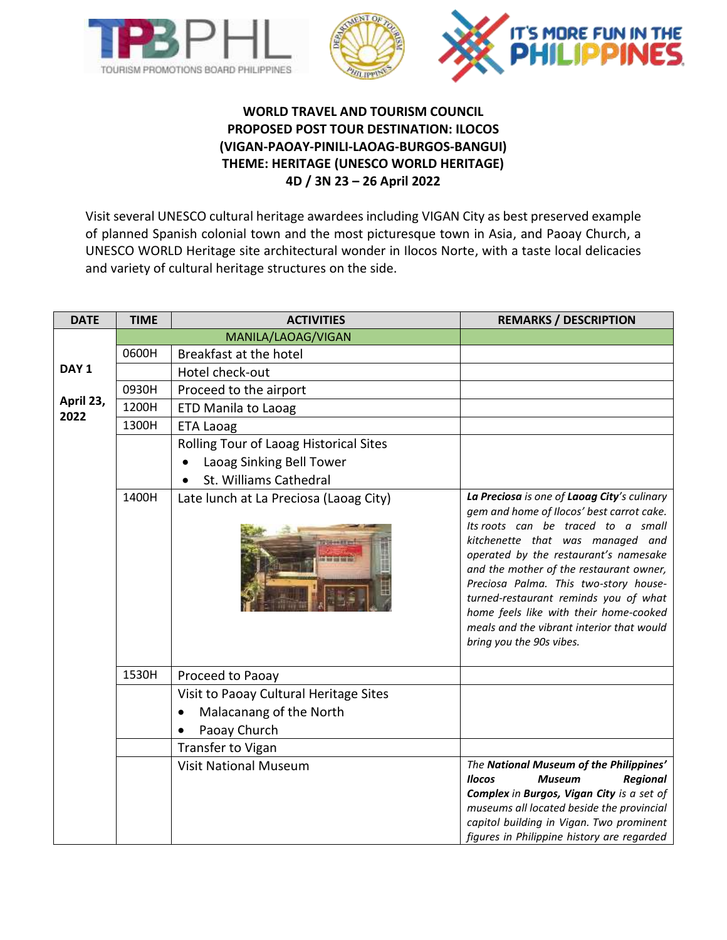



## **WORLD TRAVEL AND TOURISM COUNCIL PROPOSED POST TOUR DESTINATION: ILOCOS (VIGAN-PAOAY-PINILI-LAOAG-BURGOS-BANGUI) THEME: HERITAGE (UNESCO WORLD HERITAGE) 4D / 3N 23 – 26 April 2022**

Visit several UNESCO cultural heritage awardees including VIGAN City as best preserved example of planned Spanish colonial town and the most picturesque town in Asia, and Paoay Church, a UNESCO WORLD Heritage site architectural wonder in Ilocos Norte, with a taste local delicacies and variety of cultural heritage structures on the side.

| <b>DATE</b>       | <b>TIME</b> | <b>ACTIVITIES</b>                      | <b>REMARKS / DESCRIPTION</b>                                                                                                                                                                                                                                                                                                                                                                                                                                |
|-------------------|-------------|----------------------------------------|-------------------------------------------------------------------------------------------------------------------------------------------------------------------------------------------------------------------------------------------------------------------------------------------------------------------------------------------------------------------------------------------------------------------------------------------------------------|
|                   |             | MANILA/LAOAG/VIGAN                     |                                                                                                                                                                                                                                                                                                                                                                                                                                                             |
|                   | 0600H       | Breakfast at the hotel                 |                                                                                                                                                                                                                                                                                                                                                                                                                                                             |
| DAY <sub>1</sub>  |             | Hotel check-out                        |                                                                                                                                                                                                                                                                                                                                                                                                                                                             |
|                   | 0930H       | Proceed to the airport                 |                                                                                                                                                                                                                                                                                                                                                                                                                                                             |
| April 23,<br>2022 | 1200H       | <b>ETD Manila to Laoag</b>             |                                                                                                                                                                                                                                                                                                                                                                                                                                                             |
|                   | 1300H       | <b>ETA Laoag</b>                       |                                                                                                                                                                                                                                                                                                                                                                                                                                                             |
|                   |             | Rolling Tour of Laoag Historical Sites |                                                                                                                                                                                                                                                                                                                                                                                                                                                             |
|                   |             | Laoag Sinking Bell Tower               |                                                                                                                                                                                                                                                                                                                                                                                                                                                             |
|                   |             | St. Williams Cathedral                 |                                                                                                                                                                                                                                                                                                                                                                                                                                                             |
|                   | 1400H       | Late lunch at La Preciosa (Laoag City) | La Preciosa is one of Laoag City's culinary<br>gem and home of Ilocos' best carrot cake.<br>Its roots can be traced to a small<br>kitchenette that was managed and<br>operated by the restaurant's namesake<br>and the mother of the restaurant owner,<br>Preciosa Palma. This two-story house-<br>turned-restaurant reminds you of what<br>home feels like with their home-cooked<br>meals and the vibrant interior that would<br>bring you the 90s vibes. |
|                   | 1530H       | Proceed to Paoay                       |                                                                                                                                                                                                                                                                                                                                                                                                                                                             |
|                   |             | Visit to Paoay Cultural Heritage Sites |                                                                                                                                                                                                                                                                                                                                                                                                                                                             |
|                   |             | Malacanang of the North                |                                                                                                                                                                                                                                                                                                                                                                                                                                                             |
|                   |             | Paoay Church                           |                                                                                                                                                                                                                                                                                                                                                                                                                                                             |
|                   |             | Transfer to Vigan                      |                                                                                                                                                                                                                                                                                                                                                                                                                                                             |
|                   |             | <b>Visit National Museum</b>           | The National Museum of the Philippines'<br><b>Museum</b><br><b>Ilocos</b><br><b>Regional</b><br>Complex in Burgos, Vigan City is a set of<br>museums all located beside the provincial<br>capitol building in Vigan. Two prominent<br>figures in Philippine history are regarded                                                                                                                                                                            |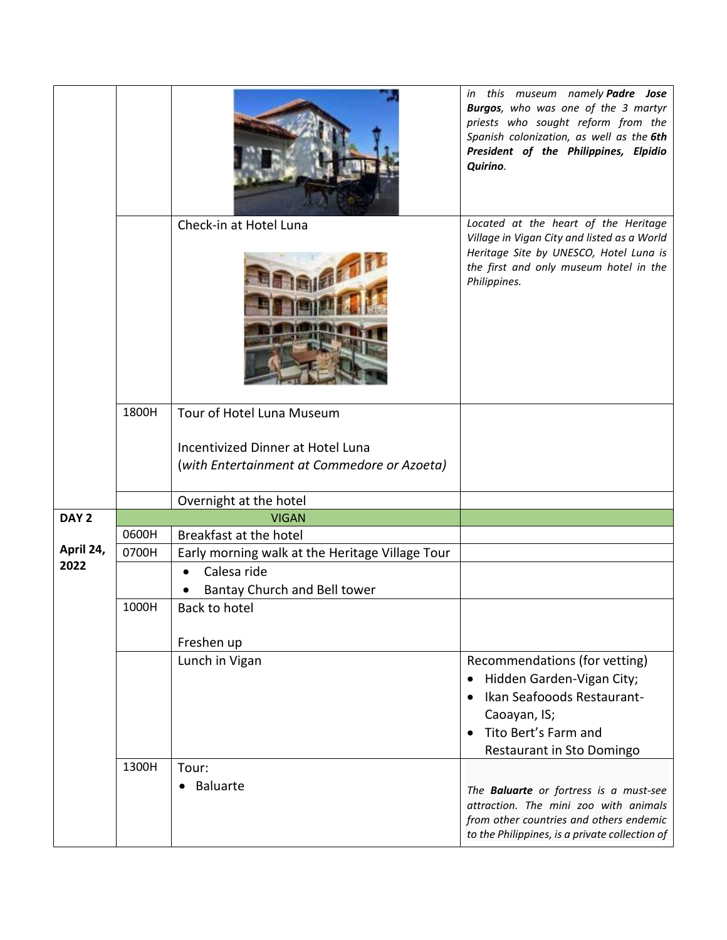|                  |       | Check-in at Hotel Luna                                                                                        | in this museum namely Padre Jose<br>Burgos, who was one of the 3 martyr<br>priests who sought reform from the<br>Spanish colonization, as well as the 6th<br>President of the Philippines, Elpidio<br>Quirino.<br>Located at the heart of the Heritage |
|------------------|-------|---------------------------------------------------------------------------------------------------------------|--------------------------------------------------------------------------------------------------------------------------------------------------------------------------------------------------------------------------------------------------------|
|                  |       |                                                                                                               | Village in Vigan City and listed as a World<br>Heritage Site by UNESCO, Hotel Luna is<br>the first and only museum hotel in the<br>Philippines.                                                                                                        |
|                  | 1800H | Tour of Hotel Luna Museum<br>Incentivized Dinner at Hotel Luna<br>(with Entertainment at Commedore or Azoeta) |                                                                                                                                                                                                                                                        |
|                  |       |                                                                                                               |                                                                                                                                                                                                                                                        |
|                  |       | Overnight at the hotel                                                                                        |                                                                                                                                                                                                                                                        |
| DAY <sub>2</sub> |       | <b>VIGAN</b>                                                                                                  |                                                                                                                                                                                                                                                        |
| April 24,        | 0600H | Breakfast at the hotel                                                                                        |                                                                                                                                                                                                                                                        |
| 2022             | 0700H | Early morning walk at the Heritage Village Tour                                                               |                                                                                                                                                                                                                                                        |
|                  |       | Calesa ride                                                                                                   |                                                                                                                                                                                                                                                        |
|                  |       | Bantay Church and Bell tower                                                                                  |                                                                                                                                                                                                                                                        |
|                  | 1000H | Back to hotel                                                                                                 |                                                                                                                                                                                                                                                        |
|                  |       |                                                                                                               |                                                                                                                                                                                                                                                        |
|                  |       | Freshen up                                                                                                    |                                                                                                                                                                                                                                                        |
|                  |       | Lunch in Vigan                                                                                                | Recommendations (for vetting)                                                                                                                                                                                                                          |
|                  |       |                                                                                                               | Hidden Garden-Vigan City;<br>$\bullet$<br>Ikan Seafooods Restaurant-                                                                                                                                                                                   |
|                  |       |                                                                                                               | Caoayan, IS;                                                                                                                                                                                                                                           |
|                  |       |                                                                                                               | Tito Bert's Farm and                                                                                                                                                                                                                                   |
|                  |       |                                                                                                               | Restaurant in Sto Domingo                                                                                                                                                                                                                              |
|                  | 1300H | Tour:                                                                                                         |                                                                                                                                                                                                                                                        |
|                  |       | <b>Baluarte</b><br>$\bullet$                                                                                  | The <b>Baluarte</b> or fortress is a must-see<br>attraction. The mini zoo with animals<br>from other countries and others endemic<br>to the Philippines, is a private collection of                                                                    |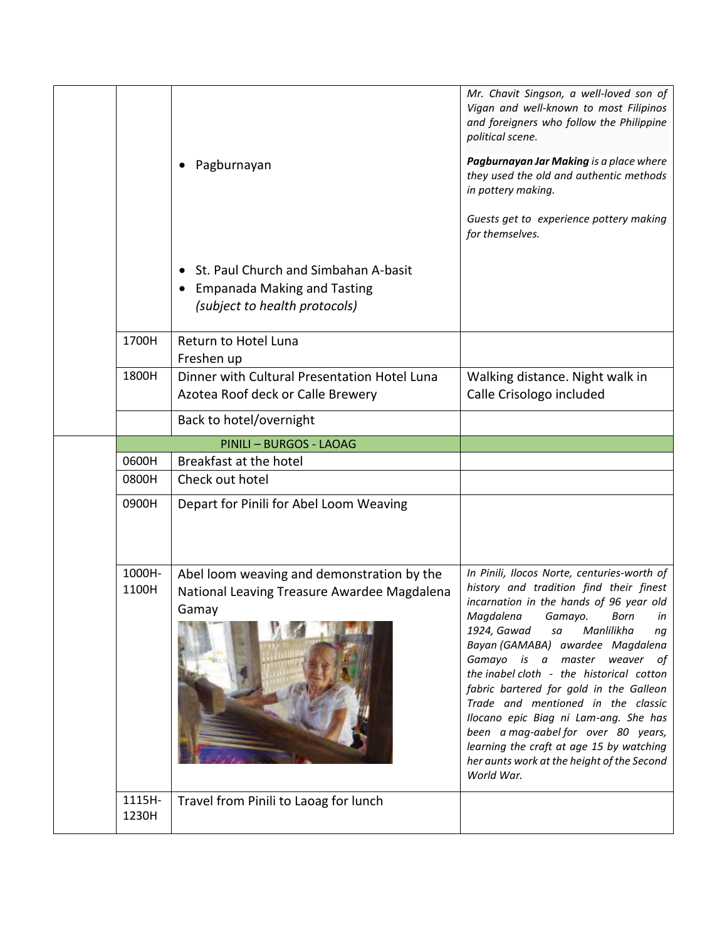|                 | Pagburnayan                                                                                                              | Mr. Chavit Singson, a well-loved son of<br>Vigan and well-known to most Filipinos<br>and foreigners who follow the Philippine<br>political scene.<br>Pagburnayan Jar Making is a place where<br>they used the old and authentic methods<br>in pottery making.<br>Guests get to experience pottery making<br>for themselves.                                                                                                                                                                                                                                                                         |
|-----------------|--------------------------------------------------------------------------------------------------------------------------|-----------------------------------------------------------------------------------------------------------------------------------------------------------------------------------------------------------------------------------------------------------------------------------------------------------------------------------------------------------------------------------------------------------------------------------------------------------------------------------------------------------------------------------------------------------------------------------------------------|
|                 | St. Paul Church and Simbahan A-basit<br>$\bullet$<br><b>Empanada Making and Tasting</b><br>(subject to health protocols) |                                                                                                                                                                                                                                                                                                                                                                                                                                                                                                                                                                                                     |
| 1700H           | Return to Hotel Luna<br>Freshen up                                                                                       |                                                                                                                                                                                                                                                                                                                                                                                                                                                                                                                                                                                                     |
| 1800H           | Dinner with Cultural Presentation Hotel Luna<br>Azotea Roof deck or Calle Brewery                                        | Walking distance. Night walk in<br>Calle Crisologo included                                                                                                                                                                                                                                                                                                                                                                                                                                                                                                                                         |
|                 | Back to hotel/overnight                                                                                                  |                                                                                                                                                                                                                                                                                                                                                                                                                                                                                                                                                                                                     |
|                 | PINILI - BURGOS - LAOAG                                                                                                  |                                                                                                                                                                                                                                                                                                                                                                                                                                                                                                                                                                                                     |
| 0600H           | Breakfast at the hotel                                                                                                   |                                                                                                                                                                                                                                                                                                                                                                                                                                                                                                                                                                                                     |
| 0800H           | Check out hotel                                                                                                          |                                                                                                                                                                                                                                                                                                                                                                                                                                                                                                                                                                                                     |
| 0900H           | Depart for Pinili for Abel Loom Weaving                                                                                  |                                                                                                                                                                                                                                                                                                                                                                                                                                                                                                                                                                                                     |
| 1000H-<br>1100H | Abel loom weaving and demonstration by the<br>National Leaving Treasure Awardee Magdalena<br>Gamay                       | In Pinili, Ilocos Norte, centuries-worth of<br>history and tradition find their finest<br>incarnation in the hands of 96 year old<br>Magdalena Gamayo. Born<br>in<br>1924, Gawad<br>Manlilikha<br>sa<br>ng<br>Bayan (GAMABA) awardee Magdalena<br>Gamayo is a master weaver of<br>the inabel cloth - the historical cotton<br>fabric bartered for gold in the Galleon<br>Trade and mentioned in the classic<br>Ilocano epic Biag ni Lam-ang. She has<br>been a mag-aabel for over 80 years,<br>learning the craft at age 15 by watching<br>her aunts work at the height of the Second<br>World War. |
| 1115H-<br>1230H | Travel from Pinili to Laoag for lunch                                                                                    |                                                                                                                                                                                                                                                                                                                                                                                                                                                                                                                                                                                                     |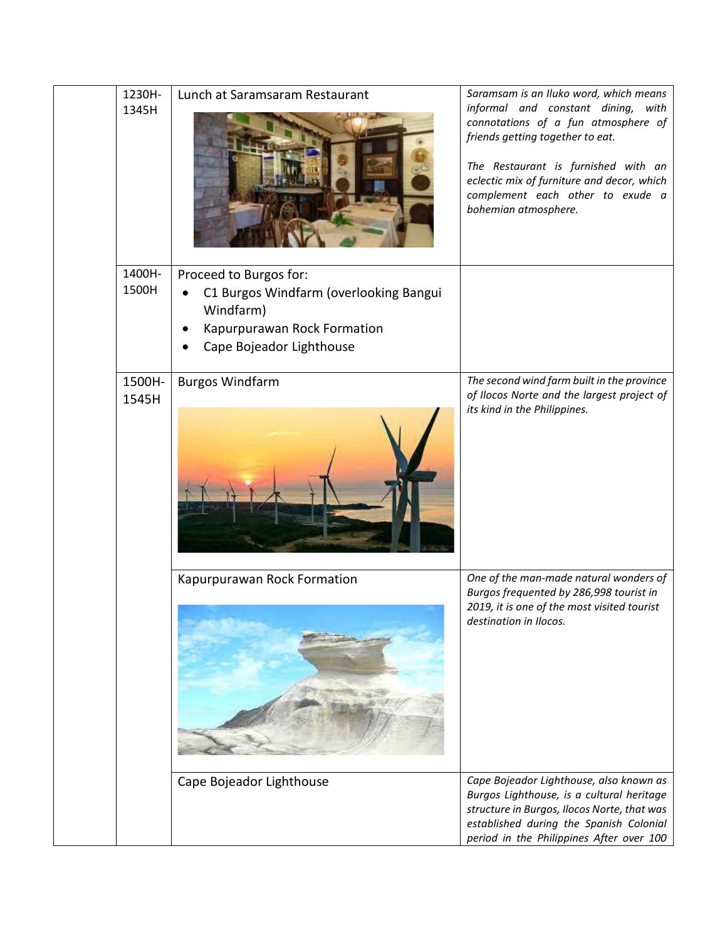| 1230H-<br>1345H | Lunch at Saramsaram Restaurant                                                                                                           | Saramsam is an Iluko word, which means<br>informal and constant dining, with<br>connotations of a fun atmosphere of<br>friends getting together to eat.<br>The Restaurant is furnished with an<br>eclectic mix of furniture and decor, which<br>complement each other to exude a<br>bohemian atmosphere. |
|-----------------|------------------------------------------------------------------------------------------------------------------------------------------|----------------------------------------------------------------------------------------------------------------------------------------------------------------------------------------------------------------------------------------------------------------------------------------------------------|
| 1400H-<br>1500H | Proceed to Burgos for:<br>C1 Burgos Windfarm (overlooking Bangui<br>Windfarm)<br>Kapurpurawan Rock Formation<br>Cape Bojeador Lighthouse |                                                                                                                                                                                                                                                                                                          |
| 1500H-<br>1545H | <b>Burgos Windfarm</b>                                                                                                                   | The second wind farm built in the province<br>of Ilocos Norte and the largest project of<br>its kind in the Philippines.                                                                                                                                                                                 |
|                 | Kapurpurawan Rock Formation                                                                                                              | One of the man-made natural wonders of<br>Burgos frequented by 286,998 tourist in<br>2019, it is one of the most visited tourist<br>destination in Ilocos.                                                                                                                                               |
|                 | Cape Bojeador Lighthouse                                                                                                                 | Cape Bojeador Lighthouse, also known as<br>Burgos Lighthouse, is a cultural heritage<br>structure in Burgos, Ilocos Norte, that was<br>established during the Spanish Colonial<br>period in the Philippines After over 100                                                                               |